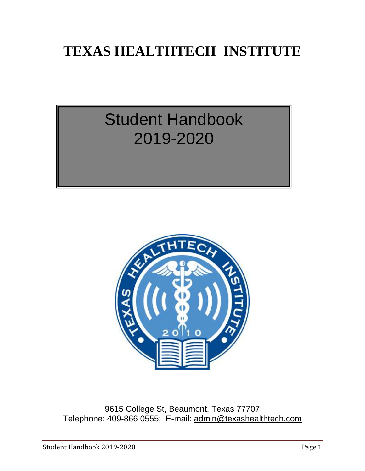# **TEXAS HEALTHTECH INSTITUTE**

# Student Handbook 2019-2020



9615 College St, Beaumont, Texas 77707 Telephone: 409-866 0555; E-mail: [admin@texashealthtech.com](mailto:admin@texashealthtech.com)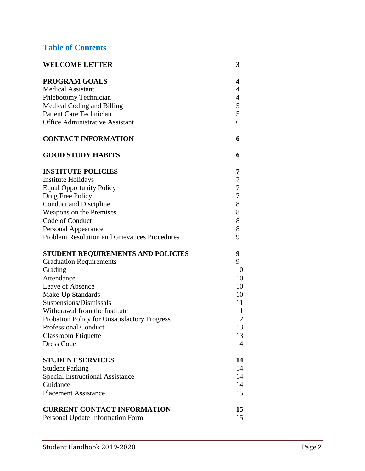# **Table of Contents**

| <b>WELCOME LETTER</b>                               | 3              |
|-----------------------------------------------------|----------------|
| <b>PROGRAM GOALS</b>                                | 4              |
| <b>Medical Assistant</b>                            | $\overline{4}$ |
| Phlebotomy Technician                               | $\overline{4}$ |
| Medical Coding and Billing                          | 5              |
| <b>Patient Care Technician</b>                      | 5              |
| <b>Office Administrative Assistant</b>              | 6              |
| <b>CONTACT INFORMATION</b>                          | 6              |
| <b>GOOD STUDY HABITS</b>                            | 6              |
| <b>INSTITUTE POLICIES</b>                           | 7              |
| <b>Institute Holidays</b>                           | $\tau$         |
| <b>Equal Opportunity Policy</b>                     | $\tau$         |
| Drug Free Policy                                    | $\tau$         |
| Conduct and Discipline                              | 8              |
| Weapons on the Premises                             | 8              |
| Code of Conduct                                     | 8              |
| <b>Personal Appearance</b>                          | $8\,$          |
| <b>Problem Resolution and Grievances Procedures</b> | 9              |
| STUDENT REQUIREMENTS AND POLICIES                   | 9              |
| <b>Graduation Requirements</b>                      | 9              |
| Grading                                             | 10             |
| Attendance                                          | 10             |
| Leave of Absence                                    | 10             |
| Make-Up Standards                                   | 10             |
| Suspensions/Dismissals                              | 11             |
| Withdrawal from the Institute                       | 11             |
| Probation Policy for Unsatisfactory Progress        | 12             |
| <b>Professional Conduct</b>                         | 13             |
| <b>Classroom Etiquette</b>                          | 13             |
| <b>Dress Code</b>                                   | 14             |
| <b>STUDENT SERVICES</b>                             | 14             |
| <b>Student Parking</b>                              | 14             |
| <b>Special Instructional Assistance</b>             | 14             |
| Guidance                                            | 14             |
| <b>Placement Assistance</b>                         | 15             |
| <b>CURRENT CONTACT INFORMATION</b>                  | 15             |
| Personal Update Information Form                    | 15             |
|                                                     |                |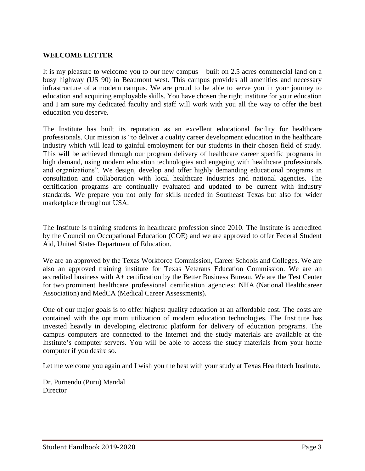# **WELCOME LETTER**

It is my pleasure to welcome you to our new campus – built on 2.5 acres commercial land on a busy highway (US 90) in Beaumont west. This campus provides all amenities and necessary infrastructure of a modern campus. We are proud to be able to serve you in your journey to education and acquiring employable skills. You have chosen the right institute for your education and I am sure my dedicated faculty and staff will work with you all the way to offer the best education you deserve.

The Institute has built its reputation as an excellent educational facility for healthcare professionals. Our mission is "to deliver a quality career development education in the healthcare industry which will lead to gainful employment for our students in their chosen field of study. This will be achieved through our program delivery of healthcare career specific programs in high demand, using modern education technologies and engaging with healthcare professionals and organizations". We design, develop and offer highly demanding educational programs in consultation and collaboration with local healthcare industries and national agencies. The certification programs are continually evaluated and updated to be current with industry standards. We prepare you not only for skills needed in Southeast Texas but also for wider marketplace throughout USA.

The Institute is training students in healthcare profession since 2010. The Institute is accredited by the Council on Occupational Education (COE) and we are approved to offer Federal Student Aid, United States Department of Education.

We are an approved by the Texas Workforce Commission, Career Schools and Colleges. We are also an approved training institute for Texas Veterans Education Commission. We are an accredited business with A+ certification by the Better Business Bureau. We are the Test Center for two prominent healthcare professional certification agencies: NHA (National Healthcareer Association) and MedCA (Medical Career Assessments).

One of our major goals is to offer highest quality education at an affordable cost. The costs are contained with the optimum utilization of modern education technologies. The Institute has invested heavily in developing electronic platform for delivery of education programs. The campus computers are connected to the Internet and the study materials are available at the Institute's computer servers. You will be able to access the study materials from your home computer if you desire so.

Let me welcome you again and I wish you the best with your study at Texas Healthtech Institute.

Dr. Purnendu (Puru) Mandal **Director**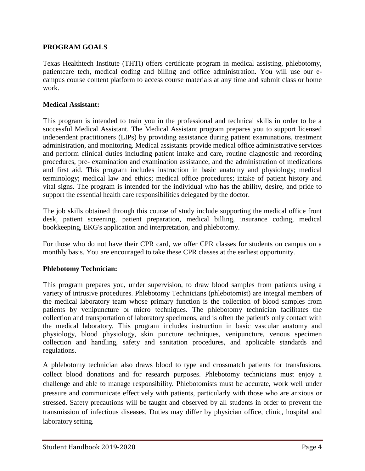# **PROGRAM GOALS**

Texas Healthtech Institute (THTI) offers certificate program in medical assisting, phlebotomy, patientcare tech, medical coding and billing and office administration. You will use our ecampus course content platform to access course materials at any time and submit class or home work.

#### **Medical Assistant:**

This program is intended to train you in the professional and technical skills in order to be a successful Medical Assistant. The Medical Assistant program prepares you to support licensed independent practitioners (LIPs) by providing assistance during patient examinations, treatment administration, and monitoring. Medical assistants provide medical office administrative services and perform clinical duties including patient intake and care, routine diagnostic and recording procedures, pre- examination and examination assistance, and the administration of medications and first aid. This program includes instruction in basic anatomy and physiology; medical terminology; medical law and ethics; medical office procedures; intake of patient history and vital signs. The program is intended for the individual who has the ability, desire, and pride to support the essential health care responsibilities delegated by the doctor.

The job skills obtained through this course of study include supporting the medical office front desk, patient screening, patient preparation, medical billing, insurance coding, medical bookkeeping, EKG's application and interpretation, and phlebotomy.

For those who do not have their CPR card, we offer CPR classes for students on campus on a monthly basis. You are encouraged to take these CPR classes at the earliest opportunity.

# **Phlebotomy Technician:**

This program prepares you, under supervision, to draw blood samples from patients using a variety of intrusive procedures. Phlebotomy Technicians (phlebotomist) are integral members of the medical laboratory team whose primary function is the collection of blood samples from patients by venipuncture or micro techniques. The phlebotomy technician facilitates the collection and transportation of laboratory specimens, and is often the patient's only contact with the medical laboratory. This program includes instruction in basic vascular anatomy and physiology, blood physiology, skin puncture techniques, venipuncture, venous specimen collection and handling, safety and sanitation procedures, and applicable standards and regulations.

A phlebotomy technician also draws blood to type and crossmatch patients for transfusions, collect blood donations and for research purposes. Phlebotomy technicians must enjoy a challenge and able to manage responsibility. Phlebotomists must be accurate, work well under pressure and communicate effectively with patients, particularly with those who are anxious or stressed. Safety precautions will be taught and observed by all students in order to prevent the transmission of infectious diseases. Duties may differ by physician office, clinic, hospital and laboratory setting.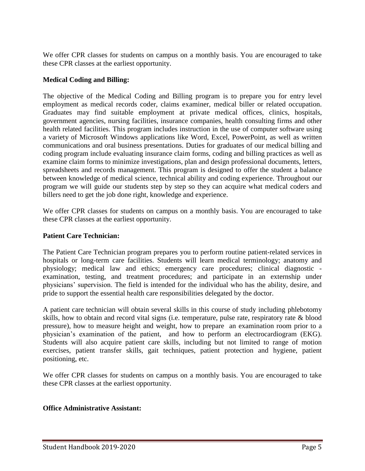We offer CPR classes for students on campus on a monthly basis. You are encouraged to take these CPR classes at the earliest opportunity.

# **Medical Coding and Billing:**

The objective of the Medical Coding and Billing program is to prepare you for entry level employment as medical records coder, claims examiner, medical biller or related occupation. Graduates may find suitable employment at private medical offices, clinics, hospitals, government agencies, nursing facilities, insurance companies, health consulting firms and other health related facilities. This program includes instruction in the use of computer software using a variety of Microsoft Windows applications like Word, Excel, PowerPoint, as well as written communications and oral business presentations. Duties for graduates of our medical billing and coding program include evaluating insurance claim forms, coding and billing practices as well as examine claim forms to minimize investigations, plan and design professional documents, letters, spreadsheets and records management. This program is designed to offer the student a balance between knowledge of medical science, technical ability and coding experience. Throughout our program we will guide our students step by step so they can acquire what medical coders and billers need to get the job done right, knowledge and experience.

We offer CPR classes for students on campus on a monthly basis. You are encouraged to take these CPR classes at the earliest opportunity.

# **Patient Care Technician:**

The Patient Care Technician program prepares you to perform routine patient-related services in hospitals or long-term care facilities. Students will learn medical terminology; anatomy and physiology; medical law and ethics; emergency care procedures; clinical diagnostic examination, testing, and treatment procedures; and participate in an externship under physicians' supervision. The field is intended for the individual who has the ability, desire, and pride to support the essential health care responsibilities delegated by the doctor.

A patient care technician will obtain several skills in this course of study including phlebotomy skills, how to obtain and record vital signs (i.e. temperature, pulse rate, respiratory rate & blood pressure), how to measure height and weight, how to prepare an examination room prior to a physician's examination of the patient, and how to perform an electrocardiogram (EKG). Students will also acquire patient care skills, including but not limited to range of motion exercises, patient transfer skills, gait techniques, patient protection and hygiene, patient positioning, etc.

We offer CPR classes for students on campus on a monthly basis. You are encouraged to take these CPR classes at the earliest opportunity.

# **Office Administrative Assistant:**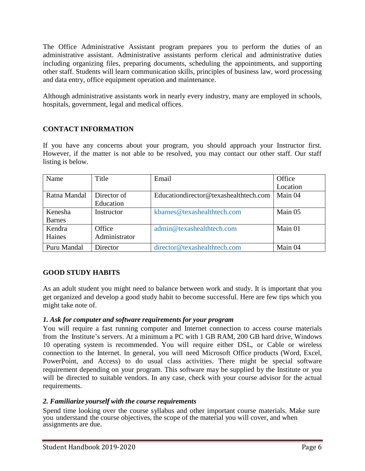The Office Administrative Assistant program prepares you to perform the duties of an administrative assistant. Administrative assistants perform clerical and administrative duties including organizing files, preparing documents, scheduling the appointments, and supporting other staff. Students will learn communication skills, principles of business law, word processing and data entry, office equipment operation and maintenance.

Although administrative assistants work in nearly every industry, many are employed in schools, hospitals, government, legal and medical offices.

# **CONTACT INFORMATION**

If you have any concerns about your program, you should approach your Instructor first. However, if the matter is not able to be resolved, you may contact our other staff. Our staff listing is below.

| Name          | Title         | Email                                 | Office   |
|---------------|---------------|---------------------------------------|----------|
|               |               |                                       | Location |
| Ratna Mandal  | Director of   | Educationdirector@texashealthtech.com | Main 04  |
|               | Education     |                                       |          |
| Kenesha       | Instructor    | kbarnes@texashealthtech.com           | Main 05  |
| <b>Barnes</b> |               |                                       |          |
| Kendra        | Office        | admin@texashealthtech.com             | Main 01  |
| Haines        | Administrator |                                       |          |
| Puru Mandal   | Director      | director@texashealthtech.com          | Main 04  |

# **GOOD STUDY HABITS**

As an adult student you might need to balance between work and study. It is important that you get organized and develop a good study habit to become successful. Here are few tips which you might take note of.

# *1. Ask for computer and software requirements for your program*

You will require a fast running computer and Internet connection to access course materials from the Institute's servers. At a minimum a PC with 1 GB RAM, 200 GB hard drive, Windows 10 operating system is recommended. You will require either DSL, or Cable or wireless connection to the Internet. In general, you will need Microsoft Office products (Word, Excel, PowerPoint, and Access) to do usual class activities. There might be special software requirement depending on your program. This software may be supplied by the Institute or you will be directed to suitable vendors. In any case, check with your course advisor for the actual requirements.

# *2. Familiarize yourself with the course requirements*

Spend time looking over the course syllabus and other important course materials. Make sure you understand the course objectives, the scope of the material you will cover, and when assignments are due.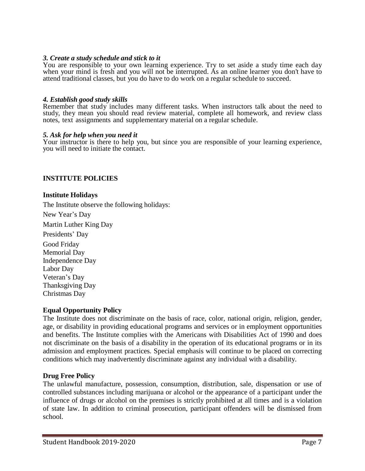#### *3. Create a study schedule and stick to it*

You are responsible to your own learning experience. Try to set aside a study time each day when your mind is fresh and you will not be interrupted. As an online learner you don't have to attend traditional classes, but you do have to do work on a regular schedule to succeed.

#### *4. Establish good study skills*

Remember that study includes many different tasks. When instructors talk about the need to study, they mean you should read review material, complete all homework, and review class notes, text assignments and supplementary material on a regular schedule.

#### *5. Ask for help when you need it*

Your instructor is there to help you, but since you are responsible of your learning experience, you will need to initiate the contact.

#### **INSTITUTE POLICIES**

#### **Institute Holidays**

The Institute observe the following holidays:

New Year's Day

Martin Luther King Day

Presidents' Day Good Friday Memorial Day Independence Day Labor Day Veteran's Day Thanksgiving Day Christmas Day

#### **Equal Opportunity Policy**

The Institute does not discriminate on the basis of race, color, national origin, religion, gender, age, or disability in providing educational programs and services or in employment opportunities and benefits. The Institute complies with the Americans with Disabilities Act of 1990 and does not discriminate on the basis of a disability in the operation of its educational programs or in its admission and employment practices. Special emphasis will continue to be placed on correcting conditions which may inadvertently discriminate against any individual with a disability.

#### **Drug Free Policy**

The unlawful manufacture, possession, consumption, distribution, sale, dispensation or use of controlled substances including marijuana or alcohol or the appearance of a participant under the influence of drugs or alcohol on the premises is strictly prohibited at all times and is a violation of state law. In addition to criminal prosecution, participant offenders will be dismissed from school.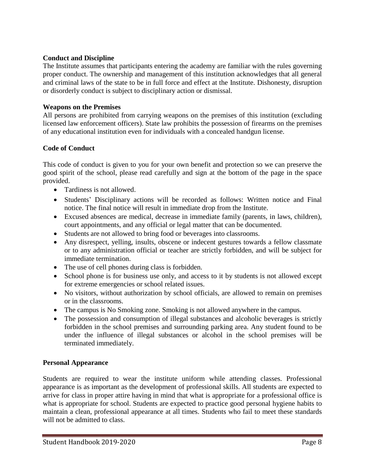# **Conduct and Discipline**

The Institute assumes that participants entering the academy are familiar with the rules governing proper conduct. The ownership and management of this institution acknowledges that all general and criminal laws of the state to be in full force and effect at the Institute. Dishonesty, disruption or disorderly conduct is subject to disciplinary action or dismissal.

# **Weapons on the Premises**

All persons are prohibited from carrying weapons on the premises of this institution (excluding licensed law enforcement officers). State law prohibits the possession of firearms on the premises of any educational institution even for individuals with a concealed handgun license.

# **Code of Conduct**

This code of conduct is given to you for your own benefit and protection so we can preserve the good spirit of the school, please read carefully and sign at the bottom of the page in the space provided.

- Tardiness is not allowed.
- Students' Disciplinary actions will be recorded as follows: Written notice and Final notice. The final notice will result in immediate drop from the Institute.
- Excused absences are medical, decrease in immediate family (parents, in laws, children), court appointments, and any official or legal matter that can be documented.
- Students are not allowed to bring food or beverages into classrooms.
- Any disrespect, yelling, insults, obscene or indecent gestures towards a fellow classmate or to any administration official or teacher are strictly forbidden, and will be subject for immediate termination.
- The use of cell phones during class is forbidden.
- School phone is for business use only, and access to it by students is not allowed except for extreme emergencies or school related issues.
- No visitors, without authorization by school officials, are allowed to remain on premises or in the classrooms.
- The campus is No Smoking zone. Smoking is not allowed anywhere in the campus.
- The possession and consumption of illegal substances and alcoholic beverages is strictly forbidden in the school premises and surrounding parking area. Any student found to be under the influence of illegal substances or alcohol in the school premises will be terminated immediately.

# **Personal Appearance**

Students are required to wear the institute uniform while attending classes. Professional appearance is as important as the development of professional skills. All students are expected to arrive for class in proper attire having in mind that what is appropriate for a professional office is what is appropriate for school. Students are expected to practice good personal hygiene habits to maintain a clean, professional appearance at all times. Students who fail to meet these standards will not be admitted to class.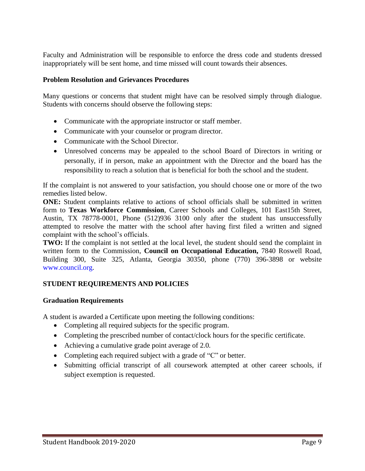Faculty and Administration will be responsible to enforce the dress code and students dressed inappropriately will be sent home, and time missed will count towards their absences.

# **Problem Resolution and Grievances Procedures**

Many questions or concerns that student might have can be resolved simply through dialogue. Students with concerns should observe the following steps:

- Communicate with the appropriate instructor or staff member.
- Communicate with your counselor or program director.
- Communicate with the School Director.
- Unresolved concerns may be appealed to the school Board of Directors in writing or personally, if in person, make an appointment with the Director and the board has the responsibility to reach a solution that is beneficial for both the school and the student.

If the complaint is not answered to your satisfaction, you should choose one or more of the two remedies listed below.

**ONE:** Student complaints relative to actions of school officials shall be submitted in written form to **Texas Workforce Commission**, Career Schools and Colleges, 101 East15th Street, Austin, TX 78778-0001, Phone (512)936 3100 only after the student has unsuccessfully attempted to resolve the matter with the school after having first filed a written and signed complaint with the school's officials.

**TWO:** If the complaint is not settled at the local level, the student should send the complaint in written form to the Commission, **Council on Occupational Education,** 7840 Roswell Road, Building 300, Suite 325, Atlanta, Georgia 30350, phone (770) 396-3898 or website www.council.org.

# **STUDENT REQUIREMENTS AND POLICIES**

#### **Graduation Requirements**

A student is awarded a Certificate upon meeting the following conditions:

- Completing all required subjects for the specific program.
- Completing the prescribed number of contact/clock hours for the specific certificate.
- Achieving a cumulative grade point average of 2.0.
- Completing each required subject with a grade of "C" or better.
- Submitting official transcript of all coursework attempted at other career schools, if subject exemption is requested.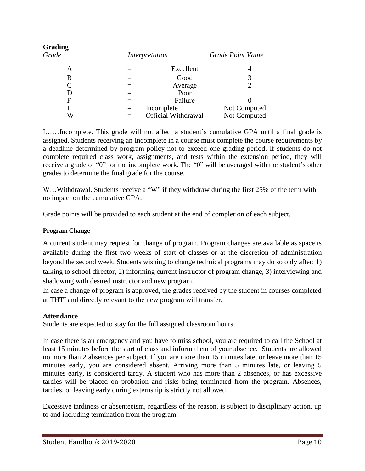| <b>Grading</b><br>Grade |     | Interpretation      | Grade Point Value |
|-------------------------|-----|---------------------|-------------------|
| А                       |     | Excellent           | 4                 |
| B                       |     | Good                |                   |
|                         |     | Average             |                   |
| D                       |     | Poor                |                   |
| $\mathbf{F}$            |     | Failure             |                   |
|                         | $=$ | Incomplete          | Not Computed      |
| W                       |     | Official Withdrawal | Not Computed      |

I……Incomplete. This grade will not affect a student's cumulative GPA until a final grade is assigned. Students receiving an Incomplete in a course must complete the course requirements by a deadline determined by program policy not to exceed one grading period. If students do not complete required class work, assignments, and tests within the extension period, they will receive a grade of "0" for the incomplete work. The "0" will be averaged with the student's other grades to determine the final grade for the course.

W...Withdrawal. Students receive a "W" if they withdraw during the first 25% of the term with no impact on the cumulative GPA.

Grade points will be provided to each student at the end of completion of each subject.

# **Program Change**

A current student may request for change of program. Program changes are available as space is available during the first two weeks of start of classes or at the discretion of administration beyond the second week. Students wishing to change technical programs may do so only after: 1) talking to school director, 2) informing current instructor of program change, 3) interviewing and shadowing with desired instructor and new program.

In case a change of program is approved, the grades received by the student in courses completed at THTI and directly relevant to the new program will transfer.

# **Attendance**

Students are expected to stay for the full assigned classroom hours.

In case there is an emergency and you have to miss school, you are required to call the School at least 15 minutes before the start of class and inform them of your absence. Students are allowed no more than 2 absences per subject. If you are more than 15 minutes late, or leave more than 15 minutes early, you are considered absent. Arriving more than 5 minutes late, or leaving 5 minutes early, is considered tardy. A student who has more than 2 absences, or has excessive tardies will be placed on probation and risks being terminated from the program. Absences, tardies, or leaving early during externship is strictly not allowed.

Excessive tardiness or absenteeism, regardless of the reason, is subject to disciplinary action, up to and including termination from the program.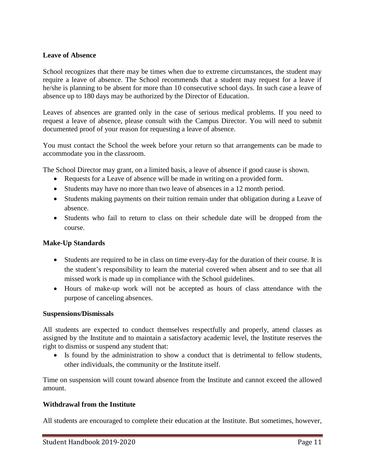# **Leave of Absence**

School recognizes that there may be times when due to extreme circumstances, the student may require a leave of absence. The School recommends that a student may request for a leave if he/she is planning to be absent for more than 10 consecutive school days. In such case a leave of absence up to 180 days may be authorized by the Director of Education.

Leaves of absences are granted only in the case of serious medical problems. If you need to request a leave of absence, please consult with the Campus Director. You will need to submit documented proof of your reason for requesting a leave of absence.

You must contact the School the week before your return so that arrangements can be made to accommodate you in the classroom.

The School Director may grant, on a limited basis, a leave of absence if good cause is shown.

- Requests for a Leave of absence will be made in writing on a provided form.
- Students may have no more than two leave of absences in a 12 month period.
- Students making payments on their tuition remain under that obligation during a Leave of absence.
- Students who fail to return to class on their schedule date will be dropped from the course.

# **Make-Up Standards**

- Students are required to be in class on time every-day for the duration of their course. It is the student's responsibility to learn the material covered when absent and to see that all missed work is made up in compliance with the School guidelines.
- Hours of make-up work will not be accepted as hours of class attendance with the purpose of canceling absences.

#### **Suspensions/Dismissals**

All students are expected to conduct themselves respectfully and properly, attend classes as assigned by the Institute and to maintain a satisfactory academic level, the Institute reserves the right to dismiss or suspend any student that:

 Is found by the administration to show a conduct that is detrimental to fellow students, other individuals, the community or the Institute itself.

Time on suspension will count toward absence from the Institute and cannot exceed the allowed amount.

#### **Withdrawal from the Institute**

All students are encouraged to complete their education at the Institute. But sometimes, however,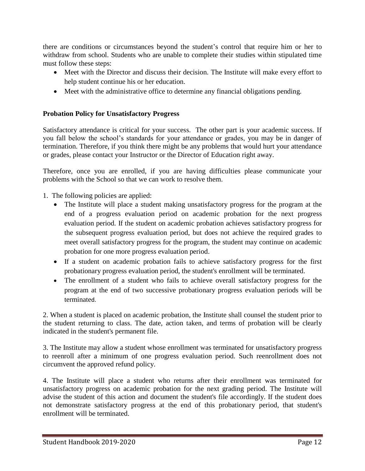there are conditions or circumstances beyond the student's control that require him or her to withdraw from school. Students who are unable to complete their studies within stipulated time must follow these steps:

- Meet with the Director and discuss their decision. The Institute will make every effort to help student continue his or her education.
- Meet with the administrative office to determine any financial obligations pending.

# **Probation Policy for Unsatisfactory Progress**

Satisfactory attendance is critical for your success. The other part is your academic success. If you fall below the school's standards for your attendance or grades, you may be in danger of termination. Therefore, if you think there might be any problems that would hurt your attendance or grades, please contact your Instructor or the Director of Education right away.

Therefore, once you are enrolled, if you are having difficulties please communicate your problems with the School so that we can work to resolve them.

1. The following policies are applied:

- The Institute will place a student making unsatisfactory progress for the program at the end of a progress evaluation period on academic probation for the next progress evaluation period. If the student on academic probation achieves satisfactory progress for the subsequent progress evaluation period, but does not achieve the required grades to meet overall satisfactory progress for the program, the student may continue on academic probation for one more progress evaluation period.
- If a student on academic probation fails to achieve satisfactory progress for the first probationary progress evaluation period, the student's enrollment will be terminated.
- The enrollment of a student who fails to achieve overall satisfactory progress for the program at the end of two successive probationary progress evaluation periods will be terminated.

2. When a student is placed on academic probation, the Institute shall counsel the student prior to the student returning to class. The date, action taken, and terms of probation will be clearly indicated in the student's permanent file.

3. The Institute may allow a student whose enrollment was terminated for unsatisfactory progress to reenroll after a minimum of one progress evaluation period. Such reenrollment does not circumvent the approved refund policy.

4. The Institute will place a student who returns after their enrollment was terminated for unsatisfactory progress on academic probation for the next grading period. The Institute will advise the student of this action and document the student's file accordingly. If the student does not demonstrate satisfactory progress at the end of this probationary period, that student's enrollment will be terminated.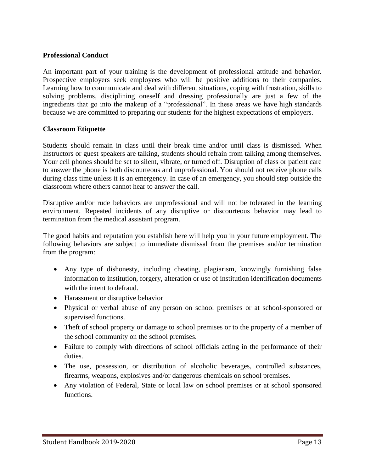#### **Professional Conduct**

An important part of your training is the development of professional attitude and behavior. Prospective employers seek employees who will be positive additions to their companies. Learning how to communicate and deal with different situations, coping with frustration, skills to solving problems, disciplining oneself and dressing professionally are just a few of the ingredients that go into the makeup of a "professional". In these areas we have high standards because we are committed to preparing our students for the highest expectations of employers.

#### **Classroom Etiquette**

Students should remain in class until their break time and/or until class is dismissed. When Instructors or guest speakers are talking, students should refrain from talking among themselves. Your cell phones should be set to silent, vibrate, or turned off. Disruption of class or patient care to answer the phone is both discourteous and unprofessional. You should not receive phone calls during class time unless it is an emergency. In case of an emergency, you should step outside the classroom where others cannot hear to answer the call.

Disruptive and/or rude behaviors are unprofessional and will not be tolerated in the learning environment. Repeated incidents of any disruptive or discourteous behavior may lead to termination from the medical assistant program.

The good habits and reputation you establish here will help you in your future employment. The following behaviors are subject to immediate dismissal from the premises and/or termination from the program:

- Any type of dishonesty, including cheating, plagiarism, knowingly furnishing false information to institution, forgery, alteration or use of institution identification documents with the intent to defraud.
- Harassment or disruptive behavior
- Physical or verbal abuse of any person on school premises or at school-sponsored or supervised functions.
- Theft of school property or damage to school premises or to the property of a member of the school community on the school premises.
- Failure to comply with directions of school officials acting in the performance of their duties.
- The use, possession, or distribution of alcoholic beverages, controlled substances, firearms, weapons, explosives and/or dangerous chemicals on school premises.
- Any violation of Federal, State or local law on school premises or at school sponsored functions.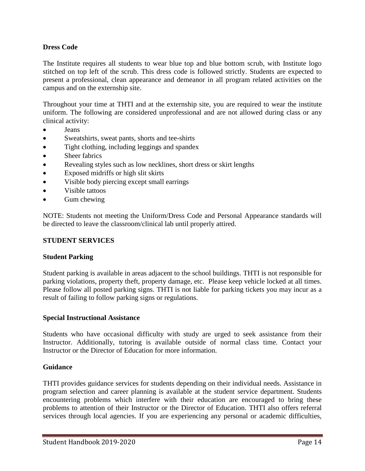# **Dress Code**

The Institute requires all students to wear blue top and blue bottom scrub, with Institute logo stitched on top left of the scrub. This dress code is followed strictly. Students are expected to present a professional, clean appearance and demeanor in all program related activities on the campus and on the externship site.

Throughout your time at THTI and at the externship site, you are required to wear the institute uniform. The following are considered unprofessional and are not allowed during class or any clinical activity:

- Jeans
- Sweatshirts, sweat pants, shorts and tee-shirts
- Tight clothing, including leggings and spandex
- Sheer fabrics
- Revealing styles such as low necklines, short dress or skirt lengths
- Exposed midriffs or high slit skirts
- Visible body piercing except small earrings
- Visible tattoos
- Gum chewing

NOTE: Students not meeting the Uniform/Dress Code and Personal Appearance standards will be directed to leave the classroom/clinical lab until properly attired.

# **STUDENT SERVICES**

# **Student Parking**

Student parking is available in areas adjacent to the school buildings. THTI is not responsible for parking violations, property theft, property damage, etc. Please keep vehicle locked at all times. Please follow all posted parking signs. THTI is not liable for parking tickets you may incur as a result of failing to follow parking signs or regulations.

#### **Special Instructional Assistance**

Students who have occasional difficulty with study are urged to seek assistance from their Instructor. Additionally, tutoring is available outside of normal class time. Contact your Instructor or the Director of Education for more information.

#### **Guidance**

THTI provides guidance services for students depending on their individual needs. Assistance in program selection and career planning is available at the student service department. Students encountering problems which interfere with their education are encouraged to bring these problems to attention of their Instructor or the Director of Education. THTI also offers referral services through local agencies. If you are experiencing any personal or academic difficulties,